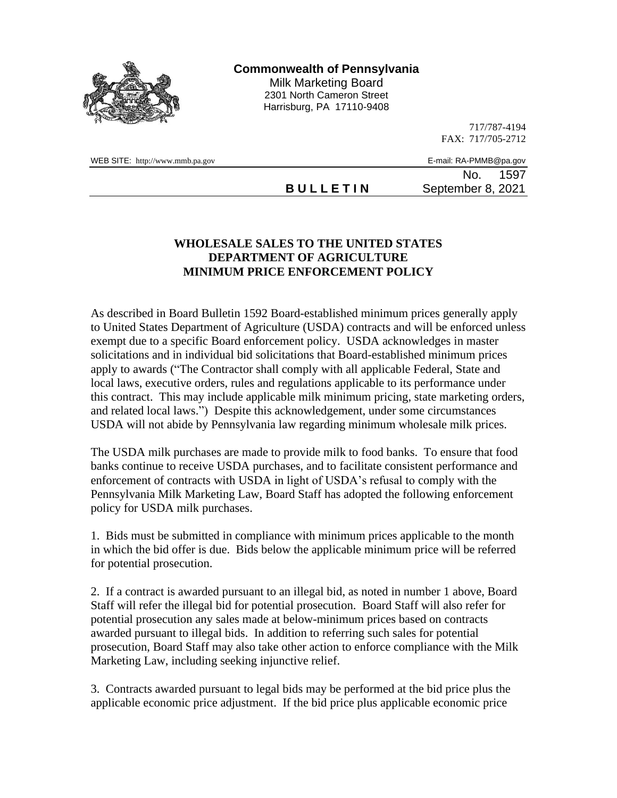

**Commonwealth of Pennsylvania**

Milk Marketing Board 2301 North Cameron Street Harrisburg, PA 17110-9408

> 717/787-4194 FAX: 717/705-2712

WEB SITE: http://www.mmb.pa.gov E-mail: RA-PMMB@pa.gov

No. 1597

**B U L L E T I N** September 8, 2021

## **WHOLESALE SALES TO THE UNITED STATES DEPARTMENT OF AGRICULTURE MINIMUM PRICE ENFORCEMENT POLICY**

As described in Board Bulletin 1592 Board-established minimum prices generally apply to United States Department of Agriculture (USDA) contracts and will be enforced unless exempt due to a specific Board enforcement policy. USDA acknowledges in master solicitations and in individual bid solicitations that Board-established minimum prices apply to awards ("The Contractor shall comply with all applicable Federal, State and local laws, executive orders, rules and regulations applicable to its performance under this contract. This may include applicable milk minimum pricing, state marketing orders, and related local laws.") Despite this acknowledgement, under some circumstances USDA will not abide by Pennsylvania law regarding minimum wholesale milk prices.

The USDA milk purchases are made to provide milk to food banks. To ensure that food banks continue to receive USDA purchases, and to facilitate consistent performance and enforcement of contracts with USDA in light of USDA's refusal to comply with the Pennsylvania Milk Marketing Law, Board Staff has adopted the following enforcement policy for USDA milk purchases.

1. Bids must be submitted in compliance with minimum prices applicable to the month in which the bid offer is due. Bids below the applicable minimum price will be referred for potential prosecution.

2. If a contract is awarded pursuant to an illegal bid, as noted in number 1 above, Board Staff will refer the illegal bid for potential prosecution. Board Staff will also refer for potential prosecution any sales made at below-minimum prices based on contracts awarded pursuant to illegal bids. In addition to referring such sales for potential prosecution, Board Staff may also take other action to enforce compliance with the Milk Marketing Law, including seeking injunctive relief.

3. Contracts awarded pursuant to legal bids may be performed at the bid price plus the applicable economic price adjustment. If the bid price plus applicable economic price